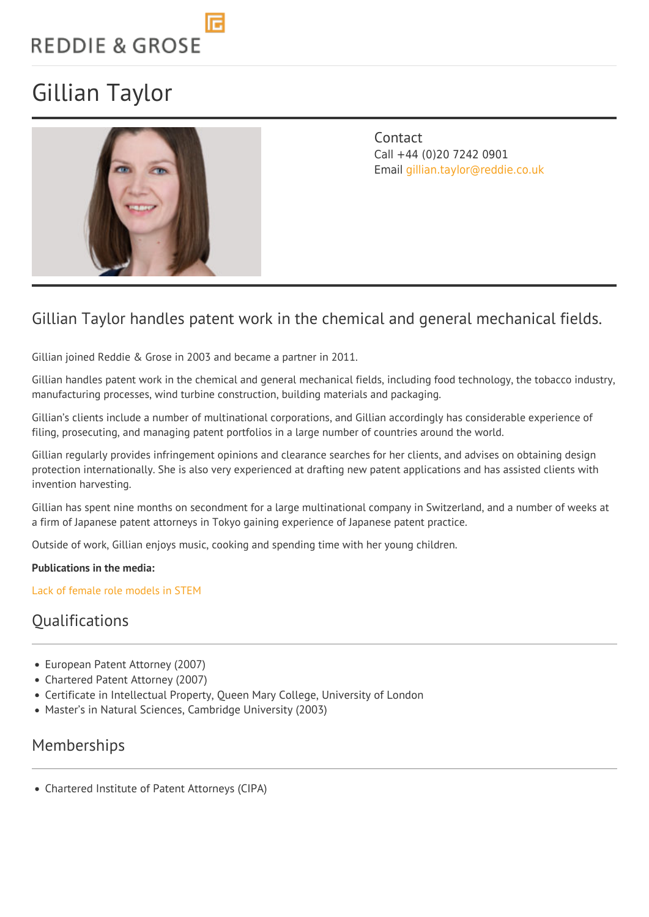# **REDDIE & GROSE**

## Gillian Taylor



**Contact** Call +44 (0)20 7242 0901 Email [gillian.taylor@reddie.co.uk](mailto:gillian.taylor@reddie.co.uk)

## Gillian Taylor handles patent work in the chemical and general mechanical fields.

Gillian joined Reddie & Grose in 2003 and became a partner in 2011.

Gillian handles patent work in the chemical and general mechanical fields, including food technology, the tobacco industry, manufacturing processes, wind turbine construction, building materials and packaging.

Gillian's clients include a number of multinational corporations, and Gillian accordingly has considerable experience of filing, prosecuting, and managing patent portfolios in a large number of countries around the world.

Gillian regularly provides infringement opinions and clearance searches for her clients, and advises on obtaining design protection internationally. She is also very experienced at drafting new patent applications and has assisted clients with invention harvesting.

Gillian has spent nine months on secondment for a large multinational company in Switzerland, and a number of weeks at a firm of Japanese patent attorneys in Tokyo gaining experience of Japanese patent practice.

Outside of work, Gillian enjoys music, cooking and spending time with her young children.

### **Publications in the media:**

[Lack of female role models in STEM](https://www.intellectualpropertymagazine.com/patent/lack-of-female-role-models-in-stem-145914.htm)

### **Oualifications**

- European Patent Attorney (2007)
- Chartered Patent Attorney (2007)
- Certificate in Intellectual Property, Queen Mary College, University of London
- Master's in Natural Sciences, Cambridge University (2003)

### Memberships

Chartered Institute of Patent Attorneys (CIPA)